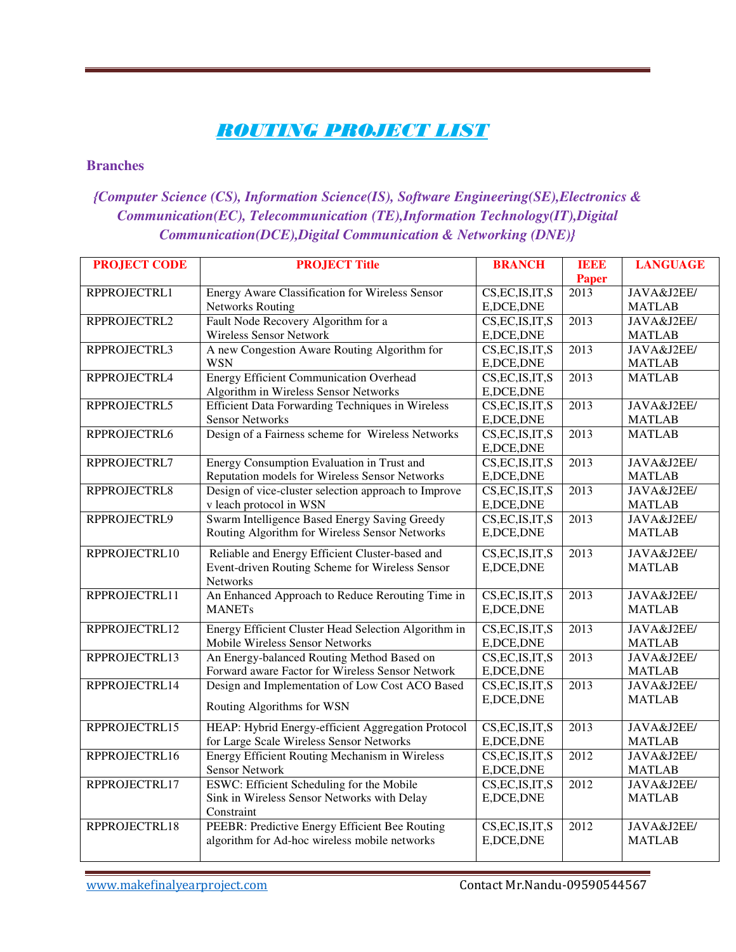## *ROUTING PROJECT LIST*

#### **Branches**

### *{Computer Science (CS), Information Science(IS), Software Engineering(SE),Electronics & Communication(EC), Telecommunication (TE),Information Technology(IT),Digital Communication(DCE),Digital Communication & Networking (DNE)}*

| <b>PROJECT CODE</b> | <b>PROJECT Title</b>                                    | <b>BRANCH</b>     | <b>IEEE</b>       | <b>LANGUAGE</b> |
|---------------------|---------------------------------------------------------|-------------------|-------------------|-----------------|
|                     |                                                         |                   | Paper             |                 |
| RPPROJECTRL1        | Energy Aware Classification for Wireless Sensor         | CS, EC, IS, IT, S | $\overline{2013}$ | JAVA&J2EE/      |
|                     | <b>Networks Routing</b>                                 | E, DCE, DNE       |                   | <b>MATLAB</b>   |
| RPPROJECTRL2        | Fault Node Recovery Algorithm for a                     | CS, EC, IS, IT, S | $\overline{2013}$ | JAVA&J2EE/      |
|                     | <b>Wireless Sensor Network</b>                          | E, DCE, DNE       |                   | <b>MATLAB</b>   |
| RPPROJECTRL3        | A new Congestion Aware Routing Algorithm for            | CS, EC, IS, IT, S | 2013              | JAVA&J2EE/      |
|                     | <b>WSN</b>                                              | E, DCE, DNE       |                   | <b>MATLAB</b>   |
| RPPROJECTRL4        | Energy Efficient Communication Overhead                 | CS, EC, IS, IT, S | 2013              | <b>MATLAB</b>   |
|                     | Algorithm in Wireless Sensor Networks                   | E, DCE, DNE       |                   |                 |
| RPPROJECTRL5        | <b>Efficient Data Forwarding Techniques in Wireless</b> | CS, EC, IS, IT, S | 2013              | JAVA&J2EE/      |
|                     | <b>Sensor Networks</b>                                  | E, DCE, DNE       |                   | <b>MATLAB</b>   |
| RPPROJECTRL6        | Design of a Fairness scheme for Wireless Networks       | CS, EC, IS, IT, S | 2013              | <b>MATLAB</b>   |
|                     |                                                         | E, DCE, DNE       |                   |                 |
| RPPROJECTRL7        | Energy Consumption Evaluation in Trust and              | CS, EC, IS, IT, S | $\overline{2013}$ | JAVA&J2EE/      |
|                     | Reputation models for Wireless Sensor Networks          | E, DCE, DNE       |                   | <b>MATLAB</b>   |
| RPPROJECTRL8        | Design of vice-cluster selection approach to Improve    | CS, EC, IS, IT, S | 2013              | JAVA&J2EE/      |
|                     | v leach protocol in WSN                                 | E, DCE, DNE       |                   | <b>MATLAB</b>   |
| RPPROJECTRL9        | Swarm Intelligence Based Energy Saving Greedy           | CS, EC, IS, IT, S | 2013              | JAVA&J2EE/      |
|                     | Routing Algorithm for Wireless Sensor Networks          | E, DCE, DNE       |                   | <b>MATLAB</b>   |
| RPPROJECTRL10       | Reliable and Energy Efficient Cluster-based and         | CS, EC, IS, IT, S | 2013              | JAVA&J2EE/      |
|                     | Event-driven Routing Scheme for Wireless Sensor         | E, DCE, DNE       |                   | <b>MATLAB</b>   |
|                     | Networks                                                |                   |                   |                 |
| RPPROJECTRL11       | An Enhanced Approach to Reduce Rerouting Time in        | CS, EC, IS, IT, S | 2013              | JAVA&J2EE/      |
|                     | <b>MANETs</b>                                           | E, DCE, DNE       |                   | <b>MATLAB</b>   |
| RPPROJECTRL12       | Energy Efficient Cluster Head Selection Algorithm in    | CS, EC, IS, IT, S | $\overline{2013}$ | JAVA&J2EE/      |
|                     | Mobile Wireless Sensor Networks                         | E, DCE, DNE       |                   | <b>MATLAB</b>   |
| RPPROJECTRL13       | An Energy-balanced Routing Method Based on              | CS, EC, IS, IT, S | $\overline{2013}$ | JAVA&J2EE/      |
|                     | Forward aware Factor for Wireless Sensor Network        | E, DCE, DNE       |                   | <b>MATLAB</b>   |
| RPPROJECTRL14       | Design and Implementation of Low Cost ACO Based         | CS, EC, IS, IT, S | 2013              | JAVA&J2EE/      |
|                     |                                                         | E, DCE, DNE       |                   | <b>MATLAB</b>   |
|                     | Routing Algorithms for WSN                              |                   |                   |                 |
| RPPROJECTRL15       | HEAP: Hybrid Energy-efficient Aggregation Protocol      | CS, EC, IS, IT, S | 2013              | JAVA&J2EE/      |
|                     | for Large Scale Wireless Sensor Networks                | E, DCE, DNE       |                   | <b>MATLAB</b>   |
| RPPROJECTRL16       | Energy Efficient Routing Mechanism in Wireless          | CS, EC, IS, IT, S | 2012              | JAVA&J2EE/      |
|                     | <b>Sensor Network</b>                                   | E, DCE, DNE       |                   | <b>MATLAB</b>   |
| RPPROJECTRL17       | ESWC: Efficient Scheduling for the Mobile               | CS, EC, IS, IT, S | 2012              | JAVA&J2EE/      |
|                     | Sink in Wireless Sensor Networks with Delay             | E, DCE, DNE       |                   | <b>MATLAB</b>   |
|                     | Constraint                                              |                   |                   |                 |
| RPPROJECTRL18       | PEEBR: Predictive Energy Efficient Bee Routing          | CS, EC, IS, IT, S | 2012              | JAVA&J2EE/      |
|                     | algorithm for Ad-hoc wireless mobile networks           | E, DCE, DNE       |                   | <b>MATLAB</b>   |
|                     |                                                         |                   |                   |                 |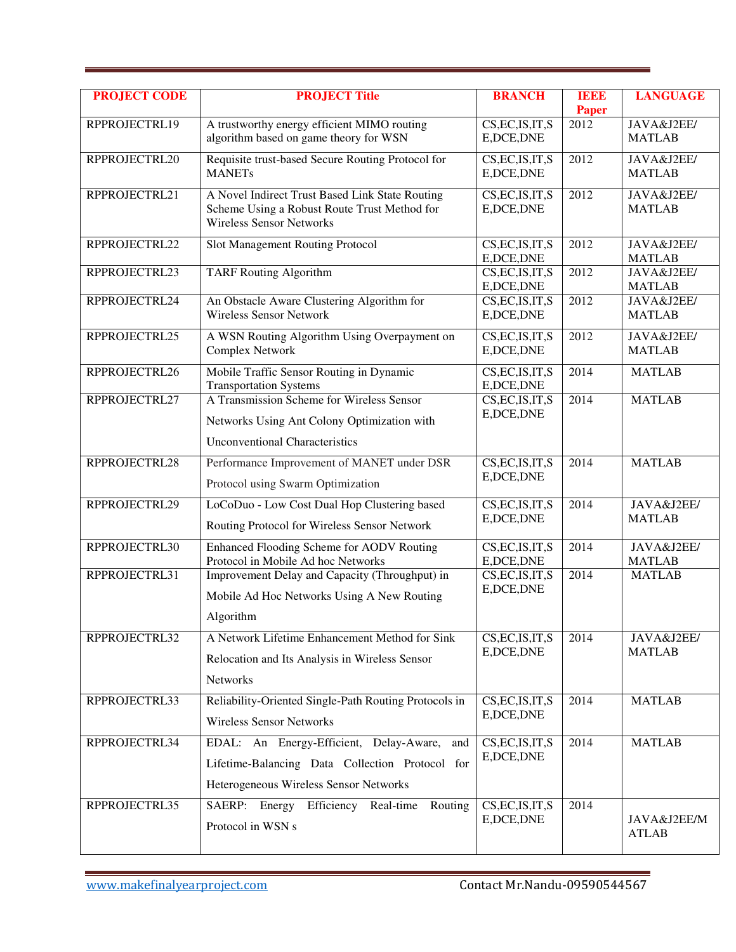| <b>PROJECT CODE</b> | <b>PROJECT Title</b>                                                                                                                        | <b>BRANCH</b>                                     | ПЫЫЕ<br><b>Paper</b> | <b>LANGUAGE</b>             |
|---------------------|---------------------------------------------------------------------------------------------------------------------------------------------|---------------------------------------------------|----------------------|-----------------------------|
| RPPROJECTRL19       | A trustworthy energy efficient MIMO routing<br>algorithm based on game theory for WSN                                                       | $\overline{\text{CS,EC,IS,IT}},$ S<br>E, DCE, DNE | 2012                 | JAVA&J2EE/<br><b>MATLAB</b> |
| RPPROJECTRL20       | Requisite trust-based Secure Routing Protocol for<br><b>MANETs</b>                                                                          | CS, EC, IS, IT, S<br>E, DCE, DNE                  | 2012                 | JAVA&J2EE/<br><b>MATLAB</b> |
| RPPROJECTRL21       | A Novel Indirect Trust Based Link State Routing<br>Scheme Using a Robust Route Trust Method for<br><b>Wireless Sensor Networks</b>          | CS, EC, IS, IT, S<br>E, DCE, DNE                  | 2012                 | JAVA&J2EE/<br><b>MATLAB</b> |
| RPPROJECTRL22       | Slot Management Routing Protocol                                                                                                            | CS, EC, IS, IT, S<br>E, DCE, DNE                  | 2012                 | JAVA&J2EE/<br><b>MATLAB</b> |
| RPPROJECTRL23       | <b>TARF Routing Algorithm</b>                                                                                                               | CS, EC, IS, IT, S<br>E, DCE, DNE                  | 2012                 | JAVA&J2EE/<br><b>MATLAB</b> |
| RPPROJECTRL24       | An Obstacle Aware Clustering Algorithm for<br><b>Wireless Sensor Network</b>                                                                | CS, EC, IS, IT, S<br>E, DCE, DNE                  | 2012                 | JAVA&J2EE/<br><b>MATLAB</b> |
| RPPROJECTRL25       | A WSN Routing Algorithm Using Overpayment on<br>Complex Network                                                                             | CS, EC, IS, IT, S<br>E, DCE, DNE                  | 2012                 | JAVA&J2EE/<br><b>MATLAB</b> |
| RPPROJECTRL26       | Mobile Traffic Sensor Routing in Dynamic<br><b>Transportation Systems</b>                                                                   | CS, EC, IS, IT, S<br>E, DCE, DNE                  | 2014                 | <b>MATLAB</b>               |
| RPPROJECTRL27       | A Transmission Scheme for Wireless Sensor<br>Networks Using Ant Colony Optimization with<br><b>Unconventional Characteristics</b>           | CS, EC, IS, IT, S<br>E, DCE, DNE                  | 2014                 | <b>MATLAB</b>               |
| RPPROJECTRL28       | Performance Improvement of MANET under DSR<br>Protocol using Swarm Optimization                                                             | CS, EC, IS, IT, S<br>E, DCE, DNE                  | 2014                 | <b>MATLAB</b>               |
| RPPROJECTRL29       | LoCoDuo - Low Cost Dual Hop Clustering based<br>Routing Protocol for Wireless Sensor Network                                                | CS, EC, IS, IT, S<br>E, DCE, DNE                  | 2014                 | JAVA&J2EE/<br><b>MATLAB</b> |
| RPPROJECTRL30       | Enhanced Flooding Scheme for AODV Routing<br>Protocol in Mobile Ad hoc Networks                                                             | CS, EC, IS, IT, S<br>E, DCE, DNE                  | 2014                 | JAVA&J2EE/<br><b>MATLAB</b> |
| RPPROJECTRL31       | Improvement Delay and Capacity (Throughput) in<br>Mobile Ad Hoc Networks Using A New Routing<br>Algorithm                                   | CS, EC, IS, IT, S<br>E, DCE, DNE                  | 2014                 | <b>MATLAB</b>               |
| RPPROJECTRL32       | A Network Lifetime Enhancement Method for Sink<br>Relocation and Its Analysis in Wireless Sensor<br>Networks                                | CS, EC, IS, IT, S<br>E, DCE, DNE                  | 2014                 | JAVA&J2EE/<br><b>MATLAB</b> |
| RPPROJECTRL33       | Reliability-Oriented Single-Path Routing Protocols in<br><b>Wireless Sensor Networks</b>                                                    | CS, EC, IS, IT, S<br>E, DCE, DNE                  | 2014                 | <b>MATLAB</b>               |
| RPPROJECTRL34       | EDAL: An Energy-Efficient, Delay-Aware,<br>and<br>Lifetime-Balancing Data Collection Protocol for<br>Heterogeneous Wireless Sensor Networks | CS, EC, IS, IT, S<br>E, DCE, DNE                  | 2014                 | <b>MATLAB</b>               |
| RPPROJECTRL35       | SAERP: Energy Efficiency Real-time<br>Routing<br>Protocol in WSN s                                                                          | CS, EC, IS, IT, S<br>E, DCE, DNE                  | 2014                 | JAVA&J2EE/M<br><b>ATLAB</b> |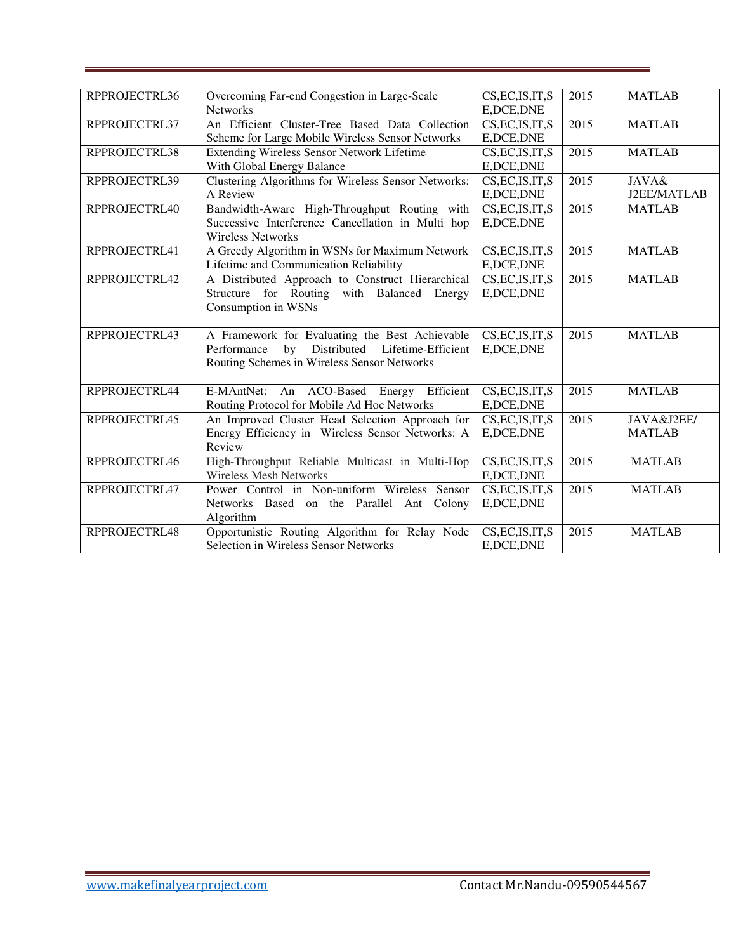| RPPROJECTRL36 | Overcoming Far-end Congestion in Large-Scale        | CS, EC, IS, IT, S | 2015 | <b>MATLAB</b> |
|---------------|-----------------------------------------------------|-------------------|------|---------------|
|               | <b>Networks</b>                                     | E, DCE, DNE       |      |               |
| RPPROJECTRL37 | An Efficient Cluster-Tree Based Data Collection     | CS, EC, IS, IT, S | 2015 | <b>MATLAB</b> |
|               | Scheme for Large Mobile Wireless Sensor Networks    | E, DCE, DNE       |      |               |
| RPPROJECTRL38 | Extending Wireless Sensor Network Lifetime          | CS, EC, IS, IT, S | 2015 | <b>MATLAB</b> |
|               | With Global Energy Balance                          | E, DCE, DNE       |      |               |
| RPPROJECTRL39 | Clustering Algorithms for Wireless Sensor Networks: | CS, EC, IS, IT, S | 2015 | JAVA&         |
|               | A Review                                            | E, DCE, DNE       |      | J2EE/MATLAB   |
| RPPROJECTRL40 | Bandwidth-Aware High-Throughput Routing with        | CS, EC, IS, IT, S | 2015 | <b>MATLAB</b> |
|               | Successive Interference Cancellation in Multi hop   | E, DCE, DNE       |      |               |
|               | <b>Wireless Networks</b>                            |                   |      |               |
| RPPROJECTRL41 | A Greedy Algorithm in WSNs for Maximum Network      | CS, EC, IS, IT, S | 2015 | <b>MATLAB</b> |
|               | Lifetime and Communication Reliability              | E, DCE, DNE       |      |               |
| RPPROJECTRL42 | A Distributed Approach to Construct Hierarchical    | CS, EC, IS, IT, S | 2015 | <b>MATLAB</b> |
|               | Structure for Routing with Balanced Energy          | E, DCE, DNE       |      |               |
|               | Consumption in WSNs                                 |                   |      |               |
|               |                                                     |                   |      |               |
| RPPROJECTRL43 | A Framework for Evaluating the Best Achievable      | CS, EC, IS, IT, S | 2015 | <b>MATLAB</b> |
|               | Distributed Lifetime-Efficient<br>Performance<br>by | E, DCE, DNE       |      |               |
|               | Routing Schemes in Wireless Sensor Networks         |                   |      |               |
|               |                                                     |                   |      |               |
| RPPROJECTRL44 | E-MAntNet: An ACO-Based Energy Efficient            | CS, EC, IS, IT, S | 2015 | <b>MATLAB</b> |
|               | Routing Protocol for Mobile Ad Hoc Networks         | E, DCE, DNE       |      |               |
| RPPROJECTRL45 | An Improved Cluster Head Selection Approach for     | CS, EC, IS, IT, S | 2015 | JAVA&J2EE/    |
|               | Energy Efficiency in Wireless Sensor Networks: A    | E, DCE, DNE       |      | <b>MATLAB</b> |
|               | Review                                              |                   |      |               |
| RPPROJECTRL46 | High-Throughput Reliable Multicast in Multi-Hop     | CS, EC, IS, IT, S | 2015 | <b>MATLAB</b> |
|               | <b>Wireless Mesh Networks</b>                       | E, DCE, DNE       |      |               |
| RPPROJECTRL47 | Power Control in Non-uniform Wireless Sensor        | CS, EC, IS, IT, S | 2015 | <b>MATLAB</b> |
|               | Networks Based on the Parallel Ant Colony           | E, DCE, DNE       |      |               |
|               | Algorithm                                           |                   |      |               |
| RPPROJECTRL48 | Opportunistic Routing Algorithm for Relay Node      | CS, EC, IS, IT, S | 2015 | <b>MATLAB</b> |
|               | Selection in Wireless Sensor Networks               | E, DCE, DNE       |      |               |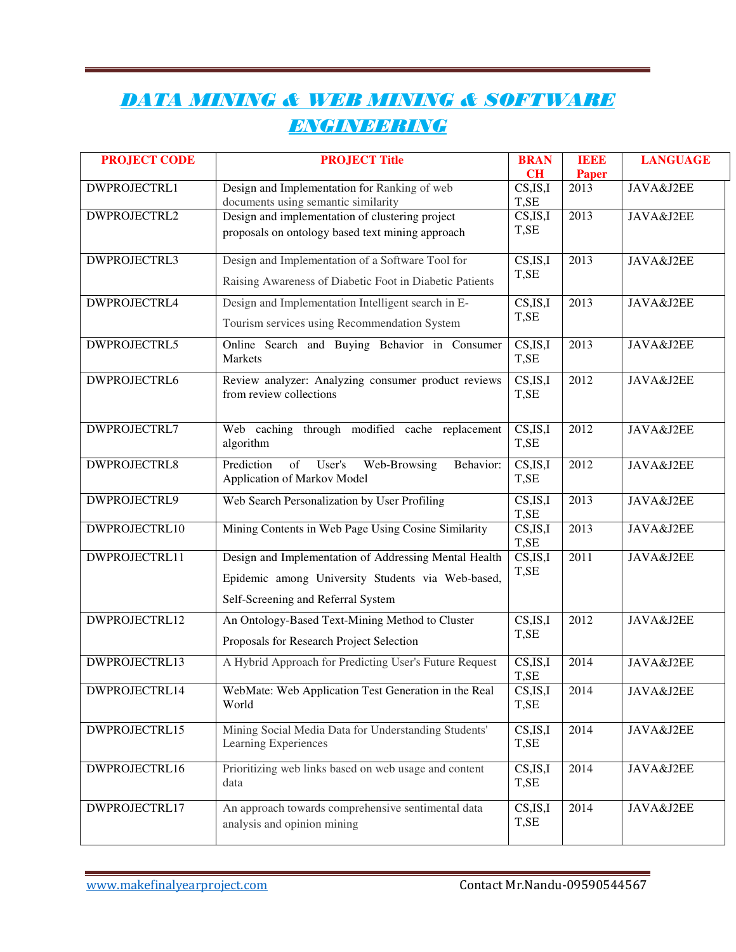# *DATA MINING & WEB MINING & SOFTWARE ENGINEERING*

| <b>PROJECT CODE</b> | <b>PROJECT Title</b>                                    | <b>BRAN</b><br>CH                         | 100<br><b>Paper</b> | <b>LANGUAGE</b> |
|---------------------|---------------------------------------------------------|-------------------------------------------|---------------------|-----------------|
| DWPROJECTRL1        | Design and Implementation for Ranking of web            | CS, IS, I                                 | 2013                | JAVA&J2EE       |
|                     | documents using semantic similarity                     | T,SE                                      |                     |                 |
| DWPROJECTRL2        | Design and implementation of clustering project         | CS, IS, I                                 | 2013                | JAVA&J2EE       |
|                     | proposals on ontology based text mining approach        | T,SE                                      |                     |                 |
| DWPROJECTRL3        | Design and Implementation of a Software Tool for        | CS, IS, I                                 | 2013                | JAVA&J2EE       |
|                     | Raising Awareness of Diabetic Foot in Diabetic Patients | T,SE                                      |                     |                 |
| DWPROJECTRL4        | Design and Implementation Intelligent search in E-      | CS, IS, I                                 | 2013                | JAVA&J2EE       |
|                     | Tourism services using Recommendation System            | T,SE                                      |                     |                 |
| DWPROJECTRL5        | Online Search and Buying Behavior in Consumer           | CS, IS, I                                 | 2013                | JAVA&J2EE       |
|                     | Markets                                                 | T,SE                                      |                     |                 |
| <b>DWPROJECTRL6</b> | Review analyzer: Analyzing consumer product reviews     | CS, IS, I                                 | 2012                | JAVA&J2EE       |
|                     | from review collections                                 | T,SE                                      |                     |                 |
| DWPROJECTRL7        | Web caching through modified cache replacement          | CS, IS, I                                 | 2012                | JAVA&J2EE       |
|                     | algorithm                                               | T,SE                                      |                     |                 |
| <b>DWPROJECTRL8</b> | of<br>User's<br>Web-Browsing<br>Prediction<br>Behavior: | CS, IS, I                                 | 2012                | JAVA&J2EE       |
|                     | Application of Markov Model                             | T,SE                                      |                     |                 |
| DWPROJECTRL9        | Web Search Personalization by User Profiling            | CS, IS, I<br>T,SE                         | 2013                | JAVA&J2EE       |
| DWPROJECTRL10       | Mining Contents in Web Page Using Cosine Similarity     | $\overline{\text{CS},\text{IS},\text{I}}$ | 2013                | JAVA&J2EE       |
|                     |                                                         | T,SE                                      |                     |                 |
| DWPROJECTRL11       | Design and Implementation of Addressing Mental Health   | CS, IS, I<br>T,SE                         | 2011                | JAVA&J2EE       |
|                     | Epidemic among University Students via Web-based,       |                                           |                     |                 |
|                     | Self-Screening and Referral System                      |                                           |                     |                 |
| DWPROJECTRL12       | An Ontology-Based Text-Mining Method to Cluster         | CS, IS, I                                 | 2012                | JAVA&J2EE       |
|                     | Proposals for Research Project Selection                | T,SE                                      |                     |                 |
| DWPROJECTRL13       | A Hybrid Approach for Predicting User's Future Request  | CS, IS, I                                 | 2014                | JAVA&J2EE       |
| DWPROJECTRL14       | WebMate: Web Application Test Generation in the Real    | T,SE<br>CS, IS, I                         | 2014                | JAVA&J2EE       |
|                     | World                                                   | T,SE                                      |                     |                 |
| DWPROJECTRL15       | Mining Social Media Data for Understanding Students'    | CS, IS, I                                 | 2014                | JAVA&J2EE       |
|                     | Learning Experiences                                    | T,SE                                      |                     |                 |
| DWPROJECTRL16       | Prioritizing web links based on web usage and content   | CS, IS, I                                 | 2014                | JAVA&J2EE       |
|                     | data                                                    | T,SE                                      |                     |                 |
| DWPROJECTRL17       | An approach towards comprehensive sentimental data      | CS, IS, I                                 | 2014                | JAVA&J2EE       |
|                     | analysis and opinion mining                             | T,SE                                      |                     |                 |
|                     |                                                         |                                           |                     |                 |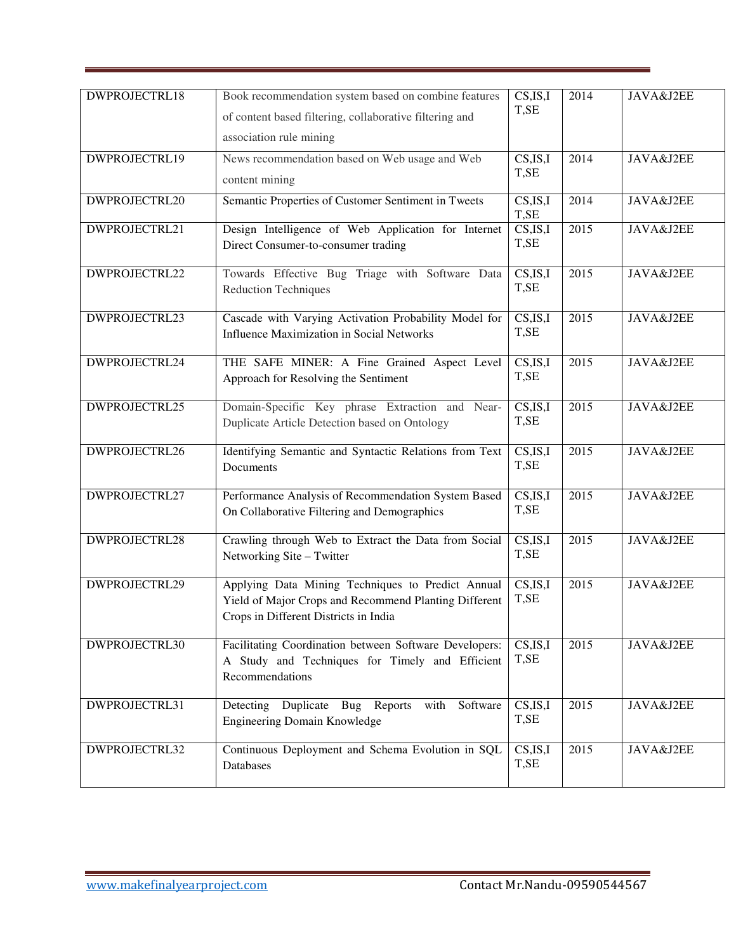| DWPROJECTRL18 | Book recommendation system based on combine features                                                       | CS, IS, I         | 2014 | JAVA&J2EE |
|---------------|------------------------------------------------------------------------------------------------------------|-------------------|------|-----------|
|               |                                                                                                            | T,SE              |      |           |
|               | of content based filtering, collaborative filtering and                                                    |                   |      |           |
|               | association rule mining                                                                                    |                   |      |           |
| DWPROJECTRL19 | News recommendation based on Web usage and Web                                                             | CS, IS, I         | 2014 | JAVA&J2EE |
|               | content mining                                                                                             | T,SE              |      |           |
| DWPROJECTRL20 | Semantic Properties of Customer Sentiment in Tweets                                                        | CS, IS, I         | 2014 | JAVA&J2EE |
|               |                                                                                                            | T,SE              |      |           |
| DWPROJECTRL21 | Design Intelligence of Web Application for Internet                                                        | CS, IS, I         | 2015 | JAVA&J2EE |
|               | Direct Consumer-to-consumer trading                                                                        | T,SE              |      |           |
| DWPROJECTRL22 | Towards Effective Bug Triage with Software Data                                                            | CS, IS, I         | 2015 | JAVA&J2EE |
|               | <b>Reduction Techniques</b>                                                                                | T,SE              |      |           |
|               |                                                                                                            |                   |      |           |
| DWPROJECTRL23 | Cascade with Varying Activation Probability Model for                                                      | CS, IS, I         | 2015 | JAVA&J2EE |
|               | Influence Maximization in Social Networks                                                                  | T,SE              |      |           |
| DWPROJECTRL24 | THE SAFE MINER: A Fine Grained Aspect Level                                                                | CS, IS, I         | 2015 | JAVA&J2EE |
|               | Approach for Resolving the Sentiment                                                                       | T,SE              |      |           |
|               |                                                                                                            |                   |      |           |
| DWPROJECTRL25 | Domain-Specific Key phrase Extraction and Near-                                                            | CS, IS, I         | 2015 | JAVA&J2EE |
|               | Duplicate Article Detection based on Ontology                                                              | T,SE              |      |           |
| DWPROJECTRL26 | Identifying Semantic and Syntactic Relations from Text                                                     | CS, IS, I         | 2015 | JAVA&J2EE |
|               | Documents                                                                                                  | T,SE              |      |           |
|               |                                                                                                            |                   |      |           |
| DWPROJECTRL27 | Performance Analysis of Recommendation System Based                                                        | CS, IS, I<br>T,SE | 2015 | JAVA&J2EE |
|               | On Collaborative Filtering and Demographics                                                                |                   |      |           |
| DWPROJECTRL28 | Crawling through Web to Extract the Data from Social                                                       | CS, IS, I         | 2015 | JAVA&J2EE |
|               | Networking Site - Twitter                                                                                  | T,SE              |      |           |
|               |                                                                                                            |                   |      |           |
| DWPROJECTRL29 | Applying Data Mining Techniques to Predict Annual<br>Yield of Major Crops and Recommend Planting Different | CS, IS, I<br>T,SE | 2015 | JAVA&J2EE |
|               | Crops in Different Districts in India                                                                      |                   |      |           |
|               |                                                                                                            |                   |      |           |
| DWPROJECTRL30 | Facilitating Coordination between Software Developers:                                                     | CS, IS, I         | 2015 | JAVA&J2EE |
|               | A Study and Techniques for Timely and Efficient                                                            | T,SE              |      |           |
|               | Recommendations                                                                                            |                   |      |           |
| DWPROJECTRL31 | Detecting Duplicate Bug Reports with<br>Software                                                           | CS, IS, I         | 2015 | JAVA&J2EE |
|               | Engineering Domain Knowledge                                                                               | T,SE              |      |           |
|               |                                                                                                            |                   |      |           |
| DWPROJECTRL32 | Continuous Deployment and Schema Evolution in SQL                                                          | CS, IS, I<br>T,SE | 2015 | JAVA&J2EE |
|               | Databases                                                                                                  |                   |      |           |